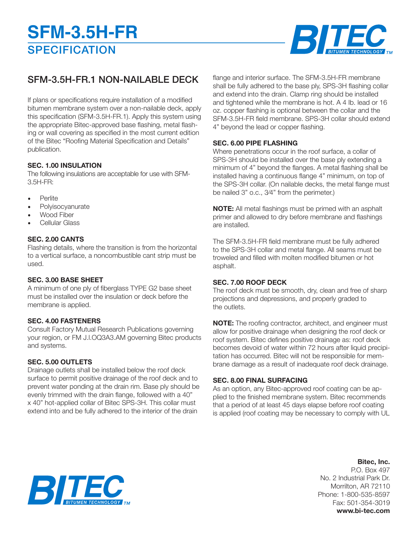# **SPECIFICATION SFM-3.5H-FR**



# SFM-3.5H-FR.1 NON-NAILABLE DECK

If plans or specifications require installation of a modified bitumen membrane system over a non-nailable deck, apply this specification (SFM-3.5H-FR.1). Apply this system using the appropriate Bitec-approved base flashing, metal flashing or wall covering as specified in the most current edition of the Bitec "Roofing Material Specification and Details" publication.

# **SEC. 1.00 INSULATION**

The following insulations are acceptable for use with SFM-3.5H-FR:

- Perlite
- **Polyisocyanurate**
- Wood Fiber
- Cellular Glass

# **SEC. 2.00 CANTS**

Flashing details, where the transition is from the horizontal to a vertical surface, a noncombustible cant strip must be used.

# **SEC. 3.00 BASE SHEET**

A minimum of one ply of fiberglass TYPE G2 base sheet must be installed over the insulation or deck before the membrane is applied.

# **SEC. 4.00 FASTENERS**

Consult Factory Mutual Research Publications governing your region, or FM J.l.OQ3A3.AM governing Bitec products and systems.

# **SEC. 5.00 OUTLETS**

Drainage outlets shall be installed below the roof deck surface to permit positive drainage of the roof deck and to prevent water ponding at the drain rim. Base ply should be evenly trimmed with the drain flange, followed with a 40" x 40" hot-applied collar of Bitec SPS-3H. This collar must extend into and be fully adhered to the interior of the drain

flange and interior surface. The SFM-3.5H-FR membrane shall be fully adhered to the base ply, SPS-3H flashing collar and extend into the drain. Clamp ring should be installed and tightened while the membrane is hot. A 4 Ib. lead or 16 oz. copper flashing is optional between the collar and the SFM-3.5H-FR field membrane. SPS-3H collar should extend 4" beyond the lead or copper flashing.

#### **SEC. 6.00 PIPE FLASHING**

Where penetrations occur in the roof surface, a collar of SPS-3H should be installed over the base ply extending a minimum of 4" beyond the flanges. A metal flashing shall be installed having a continuous flange 4" minimum, on top of the SPS-3H collar. (On nailable decks, the metal flange must be nailed 3" o.c., 3⁄4" from the perimeter.)

**NOTE:** All metal flashings must be primed with an asphalt primer and allowed to dry before membrane and flashings are installed.

The SFM-3.5H-FR field membrane must be fully adhered to the SPS-3H collar and metal flange. All seams must be troweled and filled with molten modified bitumen or hot asphalt.

#### **SEC. 7.00 ROOF DECK**

The roof deck must be smooth, dry, clean and free of sharp projections and depressions, and properly graded to the outlets.

**NOTE:** The roofing contractor, architect, and engineer must allow for positive drainage when designing the roof deck or roof system. Bitec defines positive drainage as: roof deck becomes devoid of water within 72 hours after liquid precipitation has occurred. Bitec will not be responsible for membrane damage as a result of inadequate roof deck drainage.

# **SEC. 8.00 FINAL SURFACING**

As an option, any Bitec-approved roof coating can be applied to the finished membrane system. Bitec recommends that a period of at least 45 days elapse before roof coating is applied (roof coating may be necessary to comply with UL

# **Bitec, Inc.**

P.O. Box 497 No. 2 Industrial Park Dr. Morrilton, AR 72110 Phone: 1-800-535-8597 Fax: 501-354-3019 **www.bi-tec.com**